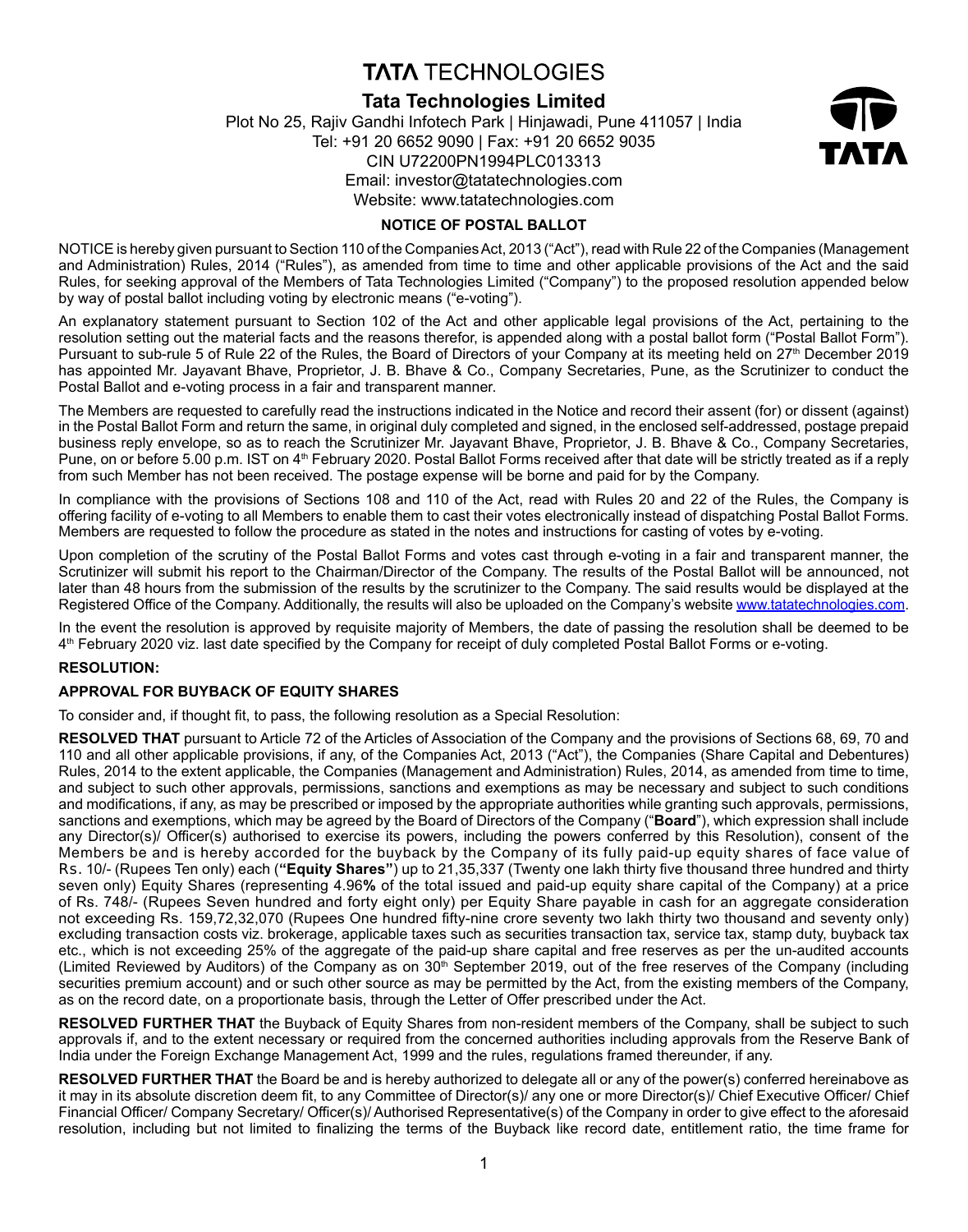# **TATA TECHNOLOGIES**

## **Tata Technologies Limited**

Plot No 25, Rajiv Gandhi Infotech Park | Hinjawadi, Pune 411057 | India Tel: +91 20 6652 9090 | Fax: +91 20 6652 9035 CIN U72200PN1994PLC013313 Email: investor@tatatechnologies.com Website: www.tatatechnologies.com



## **NOTICE OF POSTAL BALLOT**

NOTICE is hereby given pursuant to Section 110 of the Companies Act, 2013 ("Act"), read with Rule 22 of the Companies (Management and Administration) Rules, 2014 ("Rules"), as amended from time to time and other applicable provisions of the Act and the said Rules, for seeking approval of the Members of Tata Technologies Limited ("Company") to the proposed resolution appended below by way of postal ballot including voting by electronic means ("e-voting").

An explanatory statement pursuant to Section 102 of the Act and other applicable legal provisions of the Act, pertaining to the resolution setting out the material facts and the reasons therefor, is appended along with a postal ballot form ("Postal Ballot Form"). Pursuant to sub-rule 5 of Rule 22 of the Rules, the Board of Directors of your Company at its meeting held on 27<sup>th</sup> December 2019 has appointed Mr. Jayavant Bhave, Proprietor, J. B. Bhave & Co., Company Secretaries, Pune, as the Scrutinizer to conduct the Postal Ballot and e-voting process in a fair and transparent manner.

The Members are requested to carefully read the instructions indicated in the Notice and record their assent (for) or dissent (against) in the Postal Ballot Form and return the same, in original duly completed and signed, in the enclosed self-addressed, postage prepaid business reply envelope, so as to reach the Scrutinizer Mr. Jayavant Bhave, Proprietor, J. B. Bhave & Co., Company Secretaries, Pune, on or before 5.00 p.m. IST on 4<sup>th</sup> February 2020. Postal Ballot Forms received after that date will be strictly treated as if a reply from such Member has not been received. The postage expense will be borne and paid for by the Company.

In compliance with the provisions of Sections 108 and 110 of the Act, read with Rules 20 and 22 of the Rules, the Company is offering facility of e-voting to all Members to enable them to cast their votes electronically instead of dispatching Postal Ballot Forms. Members are requested to follow the procedure as stated in the notes and instructions for casting of votes by e-voting.

Upon completion of the scrutiny of the Postal Ballot Forms and votes cast through e-voting in a fair and transparent manner, the Scrutinizer will submit his report to the Chairman/Director of the Company. The results of the Postal Ballot will be announced, not later than 48 hours from the submission of the results by the scrutinizer to the Company. The said results would be displayed at the Registered Office of the Company. Additionally, the results will also be uploaded on the Company's website www.tatatechnologies.com.

In the event the resolution is approved by requisite majority of Members, the date of passing the resolution shall be deemed to be 4th February 2020 viz. last date specified by the Company for receipt of duly completed Postal Ballot Forms or e-voting.

## **RESOLUTION:**

## **APPROVAL FOR BUYBACK OF EQUITY SHARES**

To consider and, if thought fit, to pass, the following resolution as a Special Resolution:

**RESOLVED THAT** pursuant to Article 72 of the Articles of Association of the Company and the provisions of Sections 68, 69, 70 and 110 and all other applicable provisions, if any, of the Companies Act, 2013 ("Act"), the Companies (Share Capital and Debentures) Rules, 2014 to the extent applicable, the Companies (Management and Administration) Rules, 2014, as amended from time to time, and subject to such other approvals, permissions, sanctions and exemptions as may be necessary and subject to such conditions and modifications, if any, as may be prescribed or imposed by the appropriate authorities while granting such approvals, permissions, sanctions and exemptions, which may be agreed by the Board of Directors of the Company ("**Board**"), which expression shall include any Director(s)/ Officer(s) authorised to exercise its powers, including the powers conferred by this Resolution), consent of the Members be and is hereby accorded for the buyback by the Company of its fully paid-up equity shares of face value of Rs. 10/- (Rupees Ten only) each (**"Equity Shares"**) up to 21,35,337 (Twenty one lakh thirty five thousand three hundred and thirty seven only) Equity Shares (representing 4.96**%** of the total issued and paid-up equity share capital of the Company) at a price of Rs. 748/- (Rupees Seven hundred and forty eight only) per Equity Share payable in cash for an aggregate consideration not exceeding Rs. 159,72,32,070 (Rupees One hundred fifty-nine crore seventy two lakh thirty two thousand and seventy only) excluding transaction costs viz. brokerage, applicable taxes such as securities transaction tax, service tax, stamp duty, buyback tax etc., which is not exceeding 25% of the aggregate of the paid-up share capital and free reserves as per the un-audited accounts (Limited Reviewed by Auditors) of the Company as on 30<sup>th</sup> September 2019, out of the free reserves of the Company (including securities premium account) and or such other source as may be permitted by the Act, from the existing members of the Company, as on the record date, on a proportionate basis, through the Letter of Offer prescribed under the Act.

**RESOLVED FURTHER THAT** the Buyback of Equity Shares from non-resident members of the Company, shall be subject to such approvals if, and to the extent necessary or required from the concerned authorities including approvals from the Reserve Bank of India under the Foreign Exchange Management Act, 1999 and the rules, regulations framed thereunder, if any.

**RESOLVED FURTHER THAT** the Board be and is hereby authorized to delegate all or any of the power(s) conferred hereinabove as it may in its absolute discretion deem fit, to any Committee of Director(s)/ any one or more Director(s)/ Chief Executive Officer/ Chief Financial Officer/ Company Secretary/ Officer(s)/ Authorised Representative(s) of the Company in order to give effect to the aforesaid resolution, including but not limited to finalizing the terms of the Buyback like record date, entitlement ratio, the time frame for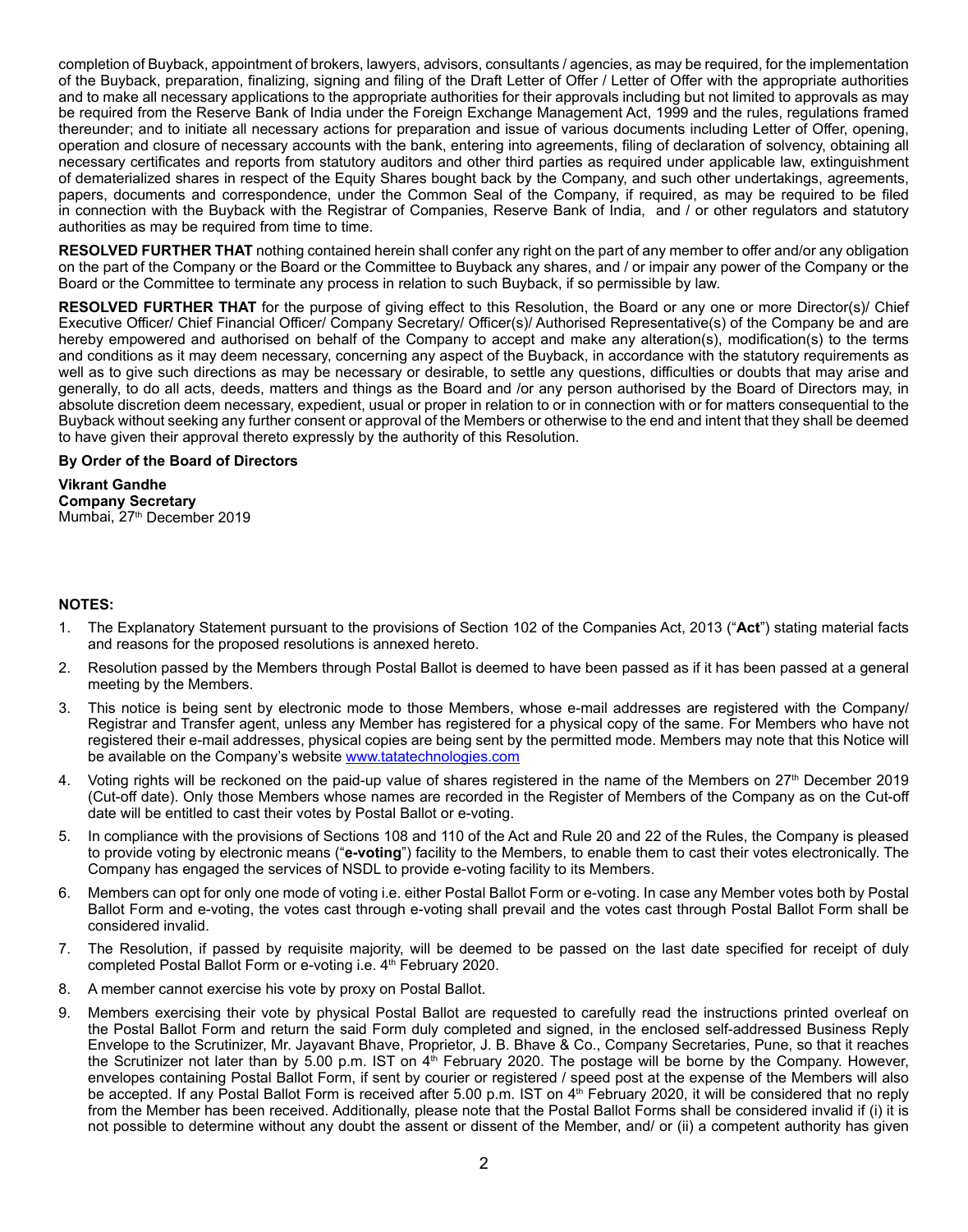completion of Buyback, appointment of brokers, lawyers, advisors, consultants / agencies, as may be required, for the implementation of the Buyback, preparation, finalizing, signing and filing of the Draft Letter of Offer / Letter of Offer with the appropriate authorities and to make all necessary applications to the appropriate authorities for their approvals including but not limited to approvals as may be required from the Reserve Bank of India under the Foreign Exchange Management Act, 1999 and the rules, regulations framed thereunder; and to initiate all necessary actions for preparation and issue of various documents including Letter of Offer, opening, operation and closure of necessary accounts with the bank, entering into agreements, filing of declaration of solvency, obtaining all necessary certificates and reports from statutory auditors and other third parties as required under applicable law, extinguishment of dematerialized shares in respect of the Equity Shares bought back by the Company, and such other undertakings, agreements, papers, documents and correspondence, under the Common Seal of the Company, if required, as may be required to be filed in connection with the Buyback with the Registrar of Companies, Reserve Bank of India, and / or other regulators and statutory authorities as may be required from time to time.

**RESOLVED FURTHER THAT** nothing contained herein shall confer any right on the part of any member to offer and/or any obligation on the part of the Company or the Board or the Committee to Buyback any shares, and / or impair any power of the Company or the Board or the Committee to terminate any process in relation to such Buyback, if so permissible by law.

**RESOLVED FURTHER THAT** for the purpose of giving effect to this Resolution, the Board or any one or more Director(s)/ Chief Executive Officer/ Chief Financial Officer/ Company Secretary/ Officer(s)/ Authorised Representative(s) of the Company be and are hereby empowered and authorised on behalf of the Company to accept and make any alteration(s), modification(s) to the terms and conditions as it may deem necessary, concerning any aspect of the Buyback, in accordance with the statutory requirements as well as to give such directions as may be necessary or desirable, to settle any questions, difficulties or doubts that may arise and generally, to do all acts, deeds, matters and things as the Board and /or any person authorised by the Board of Directors may, in absolute discretion deem necessary, expedient, usual or proper in relation to or in connection with or for matters consequential to the Buyback without seeking any further consent or approval of the Members or otherwise to the end and intent that they shall be deemed to have given their approval thereto expressly by the authority of this Resolution.

#### **By Order of the Board of Directors**

**Vikrant Gandhe Company Secretary** Mumbai, 27<sup>th</sup> December 2019

## **NOTES:**

- 1. The Explanatory Statement pursuant to the provisions of Section 102 of the Companies Act, 2013 ("**Act**") stating material facts and reasons for the proposed resolutions is annexed hereto.
- 2. Resolution passed by the Members through Postal Ballot is deemed to have been passed as if it has been passed at a general meeting by the Members.
- 3. This notice is being sent by electronic mode to those Members, whose e-mail addresses are registered with the Company/ Registrar and Transfer agent, unless any Member has registered for a physical copy of the same. For Members who have not registered their e-mail addresses, physical copies are being sent by the permitted mode. Members may note that this Notice will be available on the Company's website www.tatatechnologies.com
- 4. Voting rights will be reckoned on the paid-up value of shares registered in the name of the Members on 27<sup>th</sup> December 2019 (Cut-off date). Only those Members whose names are recorded in the Register of Members of the Company as on the Cut-off date will be entitled to cast their votes by Postal Ballot or e-voting.
- 5. In compliance with the provisions of Sections 108 and 110 of the Act and Rule 20 and 22 of the Rules, the Company is pleased to provide voting by electronic means ("**e-voting**") facility to the Members, to enable them to cast their votes electronically. The Company has engaged the services of NSDL to provide e-voting facility to its Members.
- 6. Members can opt for only one mode of voting i.e. either Postal Ballot Form or e-voting. In case any Member votes both by Postal Ballot Form and e-voting, the votes cast through e-voting shall prevail and the votes cast through Postal Ballot Form shall be considered invalid.
- 7. The Resolution, if passed by requisite majority, will be deemed to be passed on the last date specified for receipt of duly completed Postal Ballot Form or e-voting i.e. 4<sup>th</sup> February 2020.
- 8. A member cannot exercise his vote by proxy on Postal Ballot.
- 9. Members exercising their vote by physical Postal Ballot are requested to carefully read the instructions printed overleaf on the Postal Ballot Form and return the said Form duly completed and signed, in the enclosed self-addressed Business Reply Envelope to the Scrutinizer, Mr. Jayavant Bhave, Proprietor, J. B. Bhave & Co., Company Secretaries, Pune, so that it reaches the Scrutinizer not later than by 5.00 p.m. IST on 4<sup>th</sup> February 2020. The postage will be borne by the Company. However, envelopes containing Postal Ballot Form, if sent by courier or registered / speed post at the expense of the Members will also be accepted. If any Postal Ballot Form is received after 5.00 p.m. IST on 4<sup>th</sup> February 2020, it will be considered that no reply from the Member has been received. Additionally, please note that the Postal Ballot Forms shall be considered invalid if (i) it is not possible to determine without any doubt the assent or dissent of the Member, and/ or (ii) a competent authority has given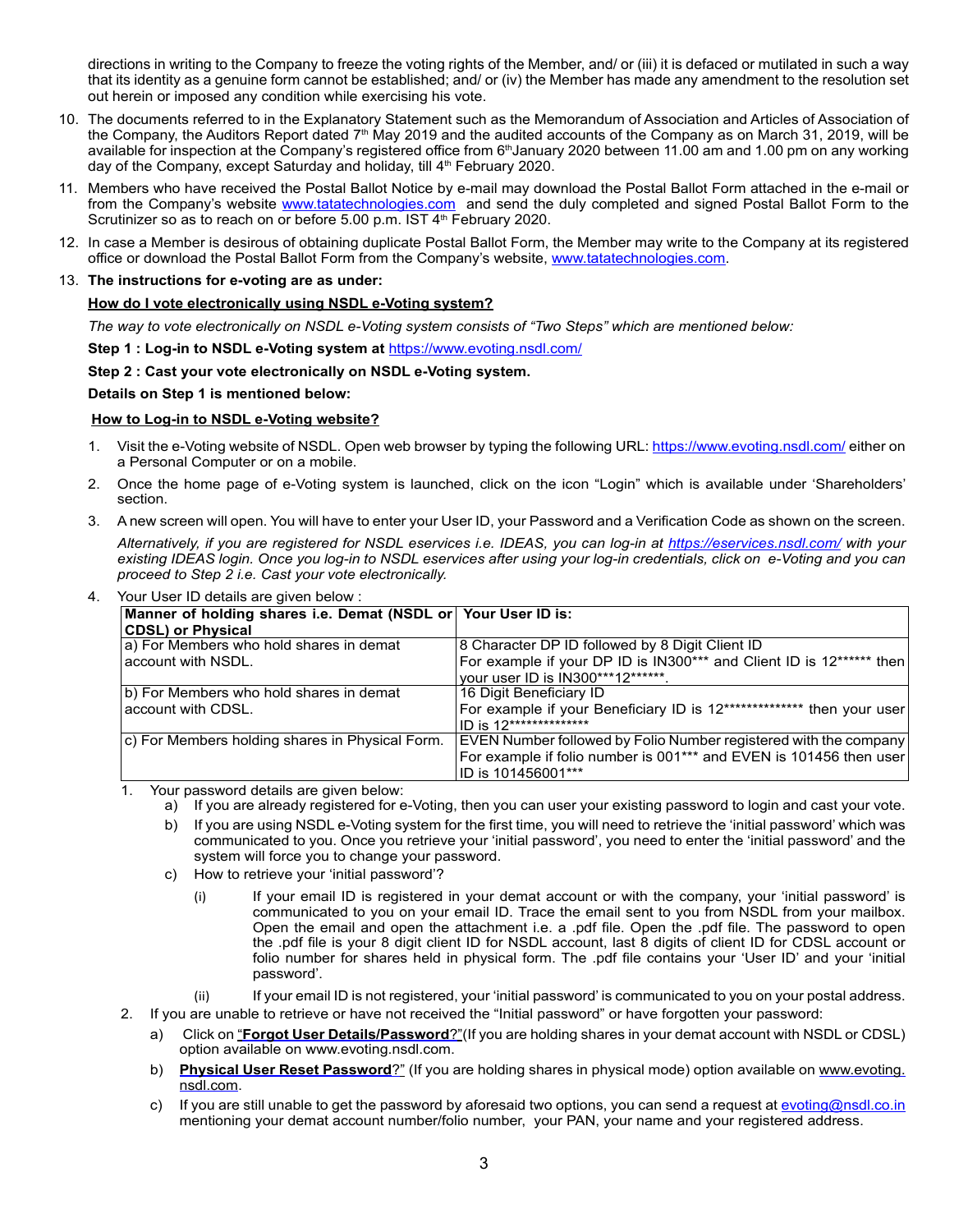directions in writing to the Company to freeze the voting rights of the Member, and/ or (iii) it is defaced or mutilated in such a way that its identity as a genuine form cannot be established; and/ or (iv) the Member has made any amendment to the resolution set out herein or imposed any condition while exercising his vote.

- 10. The documents referred to in the Explanatory Statement such as the Memorandum of Association and Articles of Association of the Company, the Auditors Report dated  $7<sup>th</sup>$  May 2019 and the audited accounts of the Company as on March 31, 2019, will be available for inspection at the Company's registered office from 6<sup>th</sup>January 2020 between 11.00 am and 1.00 pm on any working day of the Company, except Saturday and holiday, till 4<sup>th</sup> February 2020.
- 11. Members who have received the Postal Ballot Notice by e-mail may download the Postal Ballot Form attached in the e-mail or from the Company's website www.tatatechnologies.com and send the duly completed and signed Postal Ballot Form to the Scrutinizer so as to reach on or before 5.00 p.m. IST 4<sup>th</sup> February 2020.
- 12. In case a Member is desirous of obtaining duplicate Postal Ballot Form, the Member may write to the Company at its registered office or download the Postal Ballot Form from the Company's website, www.tatatechnologies.com.
- 13. **The instructions for e-voting are as under:**

## **How do I vote electronically using NSDL e-Voting system?**

*The way to vote electronically on NSDL e-Voting system consists of "Two Steps" which are mentioned below:*

**Step 1 : Log-in to NSDL e-Voting system at** https://www.evoting.nsdl.com/

## **Step 2 : Cast your vote electronically on NSDL e-Voting system.**

## **Details on Step 1 is mentioned below:**

## **How to Log-in to NSDL e-Voting website?**

- 1. Visit the e-Voting website of NSDL. Open web browser by typing the following URL: https://www.evoting.nsdl.com/ either on a Personal Computer or on a mobile.
- 2. Once the home page of e-Voting system is launched, click on the icon "Login" which is available under 'Shareholders' section.
- 3. A new screen will open. You will have to enter your User ID, your Password and a Verification Code as shown on the screen.

*Alternatively, if you are registered for NSDL eservices i.e. IDEAS, you can log-in at https://eservices.nsdl.com/ with your existing IDEAS login. Once you log-in to NSDL eservices after using your log-in credentials, click on e-Voting and you can proceed to Step 2 i.e. Cast your vote electronically.*

4. Your User ID details are given below :

| Manner of holding shares i.e. Demat (NSDL or Your User ID is: |                                                                       |
|---------------------------------------------------------------|-----------------------------------------------------------------------|
| <b>CDSL) or Physical</b>                                      |                                                                       |
| a) For Members who hold shares in demat                       | 8 Character DP ID followed by 8 Digit Client ID                       |
| account with NSDL.                                            | For example if your DP ID is IN300*** and Client ID is 12****** then  |
|                                                               | your user ID is IN300***12******.                                     |
| b) For Members who hold shares in demat                       | 16 Digit Beneficiary ID                                               |
| account with CDSL.                                            | For example if your Beneficiary ID is 12************** then your user |
|                                                               | ID is 12**************                                                |
| c) For Members holding shares in Physical Form.               | EVEN Number followed by Folio Number registered with the company      |
|                                                               | For example if folio number is 001*** and EVEN is 101456 then user    |
|                                                               | ID is 101456001***                                                    |

1. Your password details are given below:

- a) If you are already registered for e-Voting, then you can user your existing password to login and cast your vote.
- b) If you are using NSDL e-Voting system for the first time, you will need to retrieve the 'initial password' which was communicated to you. Once you retrieve your 'initial password', you need to enter the 'initial password' and the system will force you to change your password.
- c) How to retrieve your 'initial password'?
	- (i) If your email ID is registered in your demat account or with the company, your 'initial password' is communicated to you on your email ID. Trace the email sent to you from NSDL from your mailbox. Open the email and open the attachment i.e. a .pdf file. Open the .pdf file. The password to open the .pdf file is your 8 digit client ID for NSDL account, last 8 digits of client ID for CDSL account or folio number for shares held in physical form. The .pdf file contains your 'User ID' and your 'initial password'.
	- (ii) If your email ID is not registered, your 'initial password' is communicated to you on your postal address.
- 2. If you are unable to retrieve or have not received the "Initial password" or have forgotten your password:
	- a) Click on "**Forgot User Details/Password**?"(If you are holding shares in your demat account with NSDL or CDSL) option available on www.evoting.nsdl.com.
	- b) **Physical User Reset Password**?" (If you are holding shares in physical mode) option available on www.evoting. nsdl.com.
	- c) If you are still unable to get the password by aforesaid two options, you can send a request at evoting@nsdl.co.in mentioning your demat account number/folio number, your PAN, your name and your registered address.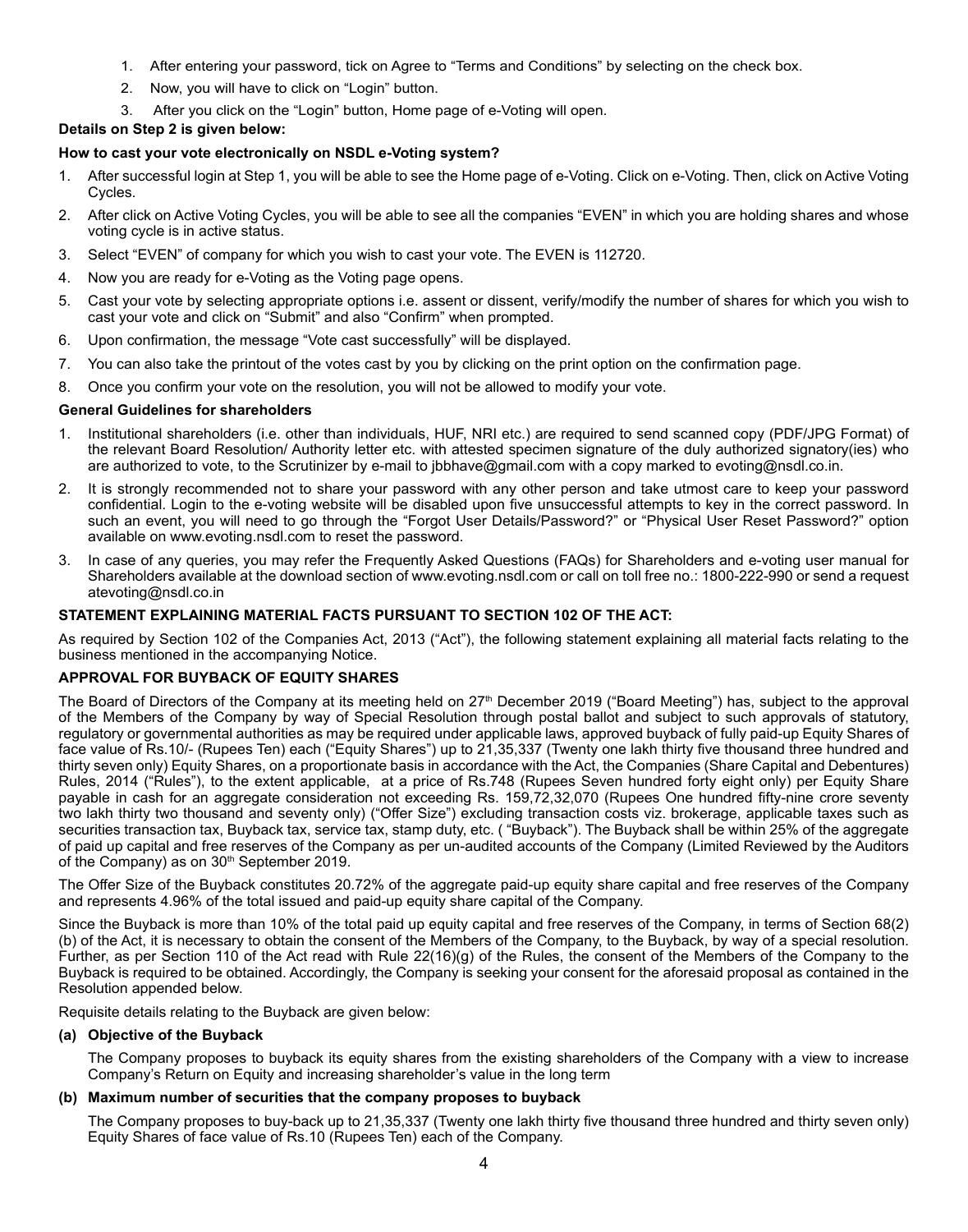- 1. After entering your password, tick on Agree to "Terms and Conditions" by selecting on the check box.
- 2. Now, you will have to click on "Login" button.
- 3. After you click on the "Login" button, Home page of e-Voting will open.

## **Details on Step 2 is given below:**

## **How to cast your vote electronically on NSDL e-Voting system?**

- 1. After successful login at Step 1, you will be able to see the Home page of e-Voting. Click on e-Voting. Then, click on Active Voting Cycles.
- 2. After click on Active Voting Cycles, you will be able to see all the companies "EVEN" in which you are holding shares and whose voting cycle is in active status.
- 3. Select "EVEN" of company for which you wish to cast your vote. The EVEN is 112720.
- 4. Now you are ready for e-Voting as the Voting page opens.
- 5. Cast your vote by selecting appropriate options i.e. assent or dissent, verify/modify the number of shares for which you wish to cast your vote and click on "Submit" and also "Confirm" when prompted.
- 6. Upon confirmation, the message "Vote cast successfully" will be displayed.
- 7. You can also take the printout of the votes cast by you by clicking on the print option on the confirmation page.
- 8. Once you confirm your vote on the resolution, you will not be allowed to modify your vote.

#### **General Guidelines for shareholders**

- 1. Institutional shareholders (i.e. other than individuals, HUF, NRI etc.) are required to send scanned copy (PDF/JPG Format) of the relevant Board Resolution/ Authority letter etc. with attested specimen signature of the duly authorized signatory(ies) who are authorized to vote, to the Scrutinizer by e-mail to jbbhave@gmail.com with a copy marked to evoting@nsdl.co.in.
- 2. It is strongly recommended not to share your password with any other person and take utmost care to keep your password confidential. Login to the e-voting website will be disabled upon five unsuccessful attempts to key in the correct password. In such an event, you will need to go through the "Forgot User Details/Password?" or "Physical User Reset Password?" option available on www.evoting.nsdl.com to reset the password.
- 3. In case of any queries, you may refer the Frequently Asked Questions (FAQs) for Shareholders and e-voting user manual for Shareholders available at the download section of www.evoting.nsdl.com or call on toll free no.: 1800-222-990 or send a request atevoting@nsdl.co.in

## **STATEMENT EXPLAINING MATERIAL FACTS PURSUANT TO SECTION 102 OF THE ACT:**

As required by Section 102 of the Companies Act, 2013 ("Act"), the following statement explaining all material facts relating to the business mentioned in the accompanying Notice.

### **APPROVAL FOR BUYBACK OF EQUITY SHARES**

The Board of Directors of the Company at its meeting held on 27<sup>th</sup> December 2019 ("Board Meeting") has, subject to the approval of the Members of the Company by way of Special Resolution through postal ballot and subject to such approvals of statutory, regulatory or governmental authorities as may be required under applicable laws, approved buyback of fully paid-up Equity Shares of face value of Rs.10/- (Rupees Ten) each ("Equity Shares") up to 21,35,337 (Twenty one lakh thirty five thousand three hundred and thirty seven only) Equity Shares, on a proportionate basis in accordance with the Act, the Companies (Share Capital and Debentures) Rules, 2014 ("Rules"), to the extent applicable, at a price of Rs.748 (Rupees Seven hundred forty eight only) per Equity Share payable in cash for an aggregate consideration not exceeding Rs. 159,72,32,070 (Rupees One hundred fifty-nine crore seventy two lakh thirty two thousand and seventy only) ("Offer Size") excluding transaction costs viz. brokerage, applicable taxes such as securities transaction tax, Buyback tax, service tax, stamp duty, etc. ( "Buyback"). The Buyback shall be within 25% of the aggregate of paid up capital and free reserves of the Company as per un-audited accounts of the Company (Limited Reviewed by the Auditors of the Company) as on 30<sup>th</sup> September 2019.

The Offer Size of the Buyback constitutes 20.72% of the aggregate paid-up equity share capital and free reserves of the Company and represents 4.96% of the total issued and paid-up equity share capital of the Company.

Since the Buyback is more than 10% of the total paid up equity capital and free reserves of the Company, in terms of Section 68(2) (b) of the Act, it is necessary to obtain the consent of the Members of the Company, to the Buyback, by way of a special resolution. Further, as per Section 110 of the Act read with Rule 22(16)(g) of the Rules, the consent of the Members of the Company to the Buyback is required to be obtained. Accordingly, the Company is seeking your consent for the aforesaid proposal as contained in the Resolution appended below.

Requisite details relating to the Buyback are given below:

#### **(a) Objective of the Buyback**

The Company proposes to buyback its equity shares from the existing shareholders of the Company with a view to increase Company's Return on Equity and increasing shareholder's value in the long term

## **(b) Maximum number of securities that the company proposes to buyback**

The Company proposes to buy-back up to 21,35,337 (Twenty one lakh thirty five thousand three hundred and thirty seven only) Equity Shares of face value of Rs.10 (Rupees Ten) each of the Company.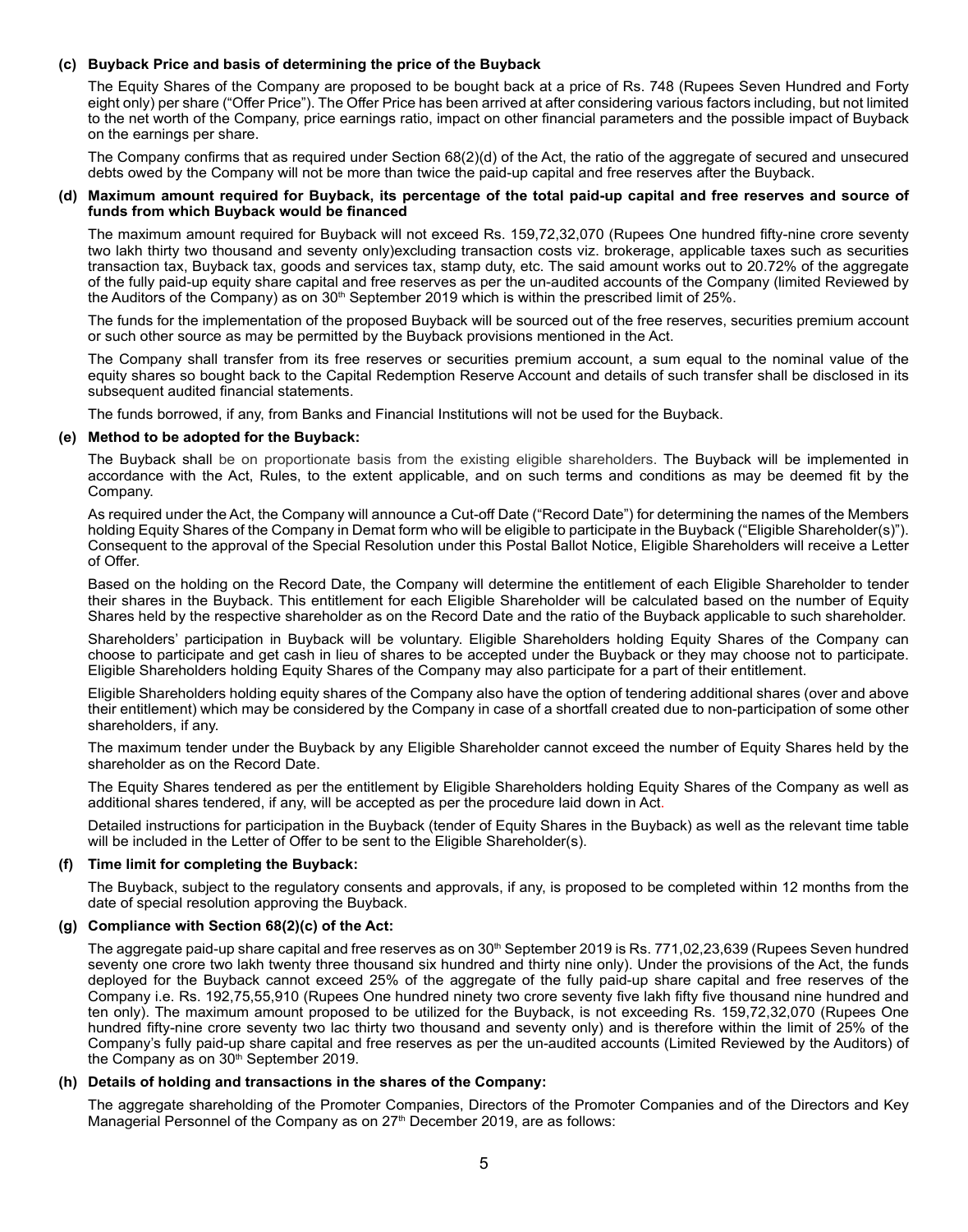#### **(c) Buyback Price and basis of determining the price of the Buyback**

The Equity Shares of the Company are proposed to be bought back at a price of Rs. 748 (Rupees Seven Hundred and Forty eight only) per share ("Offer Price"). The Offer Price has been arrived at after considering various factors including, but not limited to the net worth of the Company, price earnings ratio, impact on other financial parameters and the possible impact of Buyback on the earnings per share.

The Company confirms that as required under Section 68(2)(d) of the Act, the ratio of the aggregate of secured and unsecured debts owed by the Company will not be more than twice the paid-up capital and free reserves after the Buyback.

#### **(d) Maximum amount required for Buyback, its percentage of the total paid-up capital and free reserves and source of funds from which Buyback would be financed**

The maximum amount required for Buyback will not exceed Rs. 159,72,32,070 (Rupees One hundred fifty-nine crore seventy two lakh thirty two thousand and seventy only)excluding transaction costs viz. brokerage, applicable taxes such as securities transaction tax, Buyback tax, goods and services tax, stamp duty, etc. The said amount works out to 20.72% of the aggregate of the fully paid-up equity share capital and free reserves as per the un-audited accounts of the Company (limited Reviewed by the Auditors of the Company) as on  $30<sup>th</sup>$  September 2019 which is within the prescribed limit of 25%.

The funds for the implementation of the proposed Buyback will be sourced out of the free reserves, securities premium account or such other source as may be permitted by the Buyback provisions mentioned in the Act.

The Company shall transfer from its free reserves or securities premium account, a sum equal to the nominal value of the equity shares so bought back to the Capital Redemption Reserve Account and details of such transfer shall be disclosed in its subsequent audited financial statements.

The funds borrowed, if any, from Banks and Financial Institutions will not be used for the Buyback.

#### **(e) Method to be adopted for the Buyback:**

The Buyback shall be on proportionate basis from the existing eligible shareholders. The Buyback will be implemented in accordance with the Act, Rules, to the extent applicable, and on such terms and conditions as may be deemed fit by the Company.

As required under the Act, the Company will announce a Cut-off Date ("Record Date") for determining the names of the Members holding Equity Shares of the Company in Demat form who will be eligible to participate in the Buyback ("Eligible Shareholder(s)"). Consequent to the approval of the Special Resolution under this Postal Ballot Notice, Eligible Shareholders will receive a Letter of Offer.

Based on the holding on the Record Date, the Company will determine the entitlement of each Eligible Shareholder to tender their shares in the Buyback. This entitlement for each Eligible Shareholder will be calculated based on the number of Equity Shares held by the respective shareholder as on the Record Date and the ratio of the Buyback applicable to such shareholder.

Shareholders' participation in Buyback will be voluntary. Eligible Shareholders holding Equity Shares of the Company can choose to participate and get cash in lieu of shares to be accepted under the Buyback or they may choose not to participate. Eligible Shareholders holding Equity Shares of the Company may also participate for a part of their entitlement.

Eligible Shareholders holding equity shares of the Company also have the option of tendering additional shares (over and above their entitlement) which may be considered by the Company in case of a shortfall created due to non-participation of some other shareholders, if any.

The maximum tender under the Buyback by any Eligible Shareholder cannot exceed the number of Equity Shares held by the shareholder as on the Record Date.

The Equity Shares tendered as per the entitlement by Eligible Shareholders holding Equity Shares of the Company as well as additional shares tendered, if any, will be accepted as per the procedure laid down in Act.

Detailed instructions for participation in the Buyback (tender of Equity Shares in the Buyback) as well as the relevant time table will be included in the Letter of Offer to be sent to the Eligible Shareholder(s).

#### **(f) Time limit for completing the Buyback:**

The Buyback, subject to the regulatory consents and approvals, if any, is proposed to be completed within 12 months from the date of special resolution approving the Buyback.

#### **(g) Compliance with Section 68(2)(c) of the Act:**

The aggregate paid-up share capital and free reserves as on 30<sup>th</sup> September 2019 is Rs. 771,02,23,639 (Rupees Seven hundred seventy one crore two lakh twenty three thousand six hundred and thirty nine only). Under the provisions of the Act, the funds deployed for the Buyback cannot exceed 25% of the aggregate of the fully paid-up share capital and free reserves of the Company i.e. Rs. 192,75,55,910 (Rupees One hundred ninety two crore seventy five lakh fifty five thousand nine hundred and ten only). The maximum amount proposed to be utilized for the Buyback, is not exceeding Rs. 159,72,32,070 (Rupees One hundred fifty-nine crore seventy two lac thirty two thousand and seventy only) and is therefore within the limit of 25% of the Company's fully paid-up share capital and free reserves as per the un-audited accounts (Limited Reviewed by the Auditors) of the Company as on 30<sup>th</sup> September 2019.

#### **(h) Details of holding and transactions in the shares of the Company:**

The aggregate shareholding of the Promoter Companies, Directors of the Promoter Companies and of the Directors and Key Managerial Personnel of the Company as on  $27<sup>th</sup>$  December 2019, are as follows: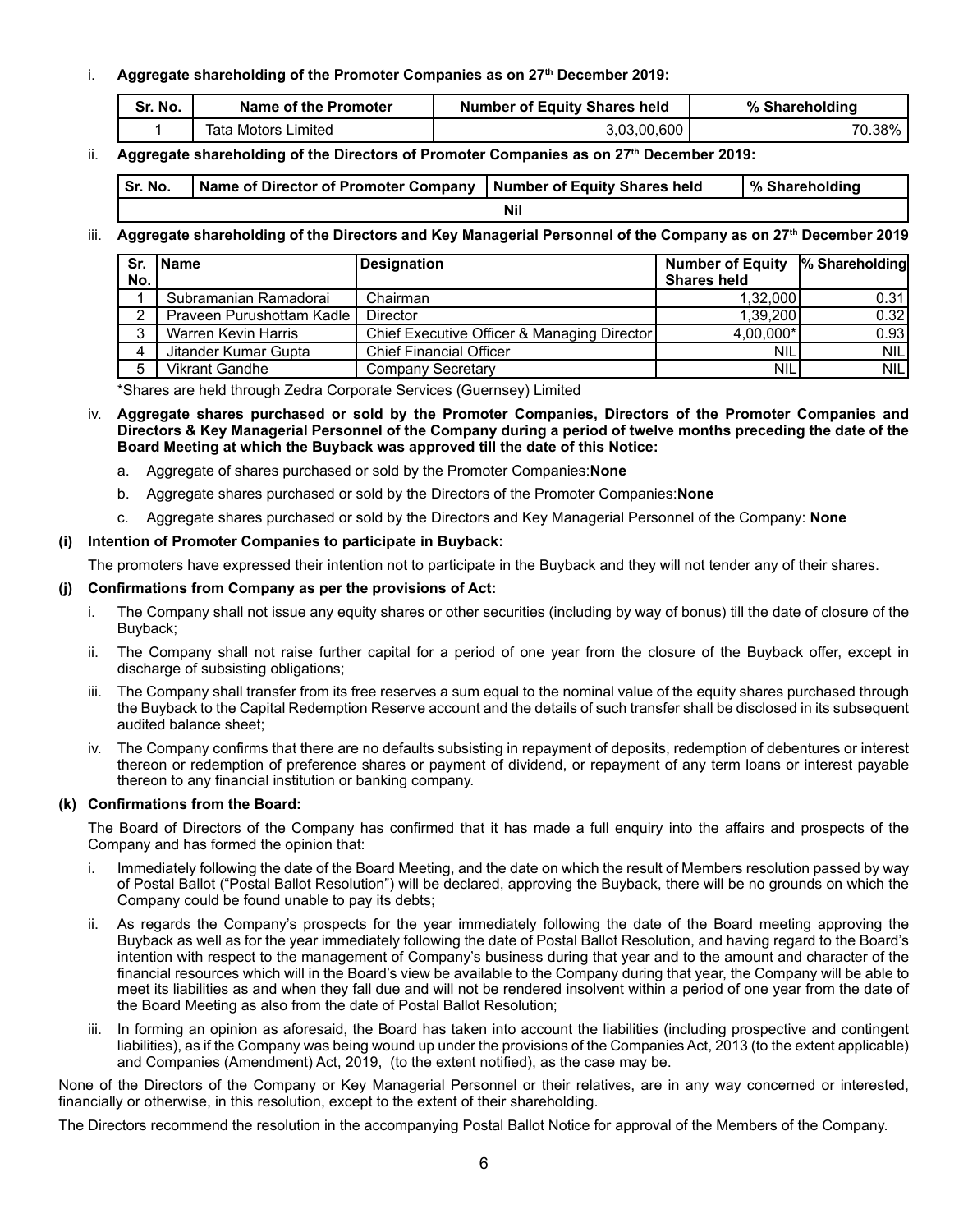## i. **Aggregate shareholding of the Promoter Companies as on 27th December 2019:**

| Sr. No. | Name of the Promoter | <b>Number of Equity Shares held</b> | % Shareholding |
|---------|----------------------|-------------------------------------|----------------|
|         | Tata Motors Limited  | 3,03,00,600                         | 70.38%         |

## ii. **Aggregate shareholding of the Directors of Promoter Companies as on 27th December 2019:**

| Sr. No. | Name of Director of Promoter Company   Number of Equity Shares held |  | Ⅰ% Shareholding |
|---------|---------------------------------------------------------------------|--|-----------------|
| Nil     |                                                                     |  |                 |

## iii. **Aggregate shareholding of the Directors and Key Managerial Personnel of the Company as on 27th December 2019**

| No. | Sr. Name                    | <b>Designation</b>                          | <b>Number of Equity</b><br><b>Shares held</b> | % Shareholding |
|-----|-----------------------------|---------------------------------------------|-----------------------------------------------|----------------|
|     |                             |                                             |                                               |                |
|     | Subramanian Ramadorai       | Chairman                                    | 1.32.000                                      | 0.31           |
| C   | Praveen Purushottam Kadle I | <b>Director</b>                             | 1.39.200                                      | 0.32           |
| 3   | Warren Kevin Harris         | Chief Executive Officer & Managing Director | 4,00,000*                                     | 0.93           |
| 4   | Jitander Kumar Gupta        | <b>Chief Financial Officer</b>              | <b>NIL</b>                                    | <b>NILI</b>    |
|     | <b>Vikrant Gandhe</b>       | Company Secretary                           | <b>NIL</b>                                    | NILI           |

\*Shares are held through Zedra Corporate Services (Guernsey) Limited

- iv. **Aggregate shares purchased or sold by the Promoter Companies, Directors of the Promoter Companies and Directors & Key Managerial Personnel of the Company during a period of twelve months preceding the date of the Board Meeting at which the Buyback was approved till the date of this Notice:**
	- a. Aggregate of shares purchased or sold by the Promoter Companies:**None**
	- b. Aggregate shares purchased or sold by the Directors of the Promoter Companies:**None**
	- c. Aggregate shares purchased or sold by the Directors and Key Managerial Personnel of the Company: **None**

## **(i) Intention of Promoter Companies to participate in Buyback:**

The promoters have expressed their intention not to participate in the Buyback and they will not tender any of their shares.

## **(j) Confirmations from Company as per the provisions of Act:**

- i. The Company shall not issue any equity shares or other securities (including by way of bonus) till the date of closure of the Buyback;
- ii. The Company shall not raise further capital for a period of one year from the closure of the Buyback offer, except in discharge of subsisting obligations;
- iii. The Company shall transfer from its free reserves a sum equal to the nominal value of the equity shares purchased through the Buyback to the Capital Redemption Reserve account and the details of such transfer shall be disclosed in its subsequent audited balance sheet;
- iv. The Company confirms that there are no defaults subsisting in repayment of deposits, redemption of debentures or interest thereon or redemption of preference shares or payment of dividend, or repayment of any term loans or interest payable thereon to any financial institution or banking company.

## **(k) Confirmations from the Board:**

The Board of Directors of the Company has confirmed that it has made a full enquiry into the affairs and prospects of the Company and has formed the opinion that:

- i. Immediately following the date of the Board Meeting, and the date on which the result of Members resolution passed by way of Postal Ballot ("Postal Ballot Resolution") will be declared, approving the Buyback, there will be no grounds on which the Company could be found unable to pay its debts;
- As regards the Company's prospects for the year immediately following the date of the Board meeting approving the Buyback as well as for the year immediately following the date of Postal Ballot Resolution, and having regard to the Board's intention with respect to the management of Company's business during that year and to the amount and character of the financial resources which will in the Board's view be available to the Company during that year, the Company will be able to meet its liabilities as and when they fall due and will not be rendered insolvent within a period of one year from the date of the Board Meeting as also from the date of Postal Ballot Resolution;
- iii. In forming an opinion as aforesaid, the Board has taken into account the liabilities (including prospective and contingent liabilities), as if the Company was being wound up under the provisions of the Companies Act, 2013 (to the extent applicable) and Companies (Amendment) Act, 2019, (to the extent notified), as the case may be.

None of the Directors of the Company or Key Managerial Personnel or their relatives, are in any way concerned or interested, financially or otherwise, in this resolution, except to the extent of their shareholding.

The Directors recommend the resolution in the accompanying Postal Ballot Notice for approval of the Members of the Company.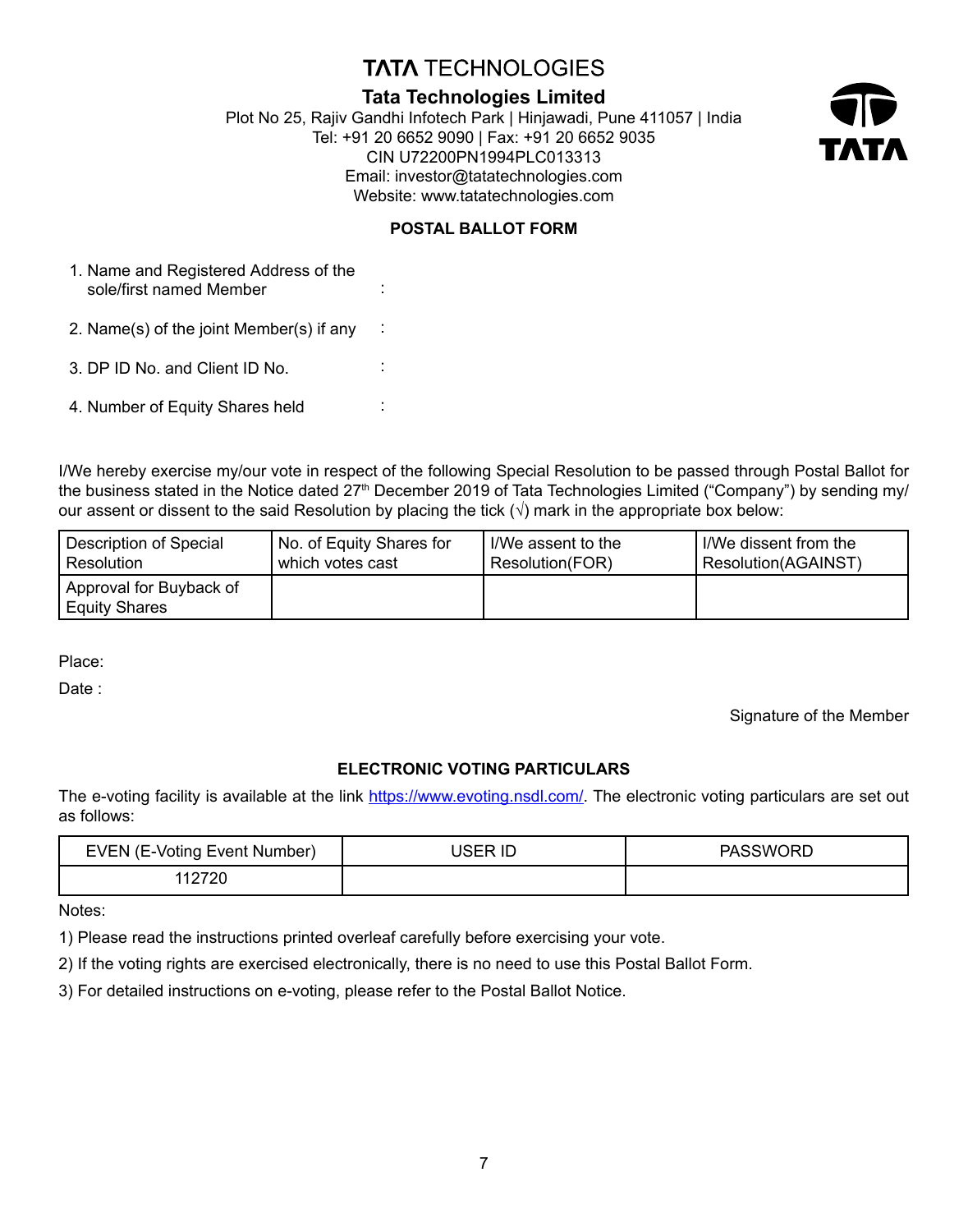# **TATA TECHNOLOGIES**

# **Tata Technologies Limited**

Plot No 25, Rajiv Gandhi Infotech Park | Hinjawadi, Pune 411057 | India Tel: +91 20 6652 9090 | Fax: +91 20 6652 9035 CIN U72200PN1994PLC013313 Email: investor@tatatechnologies.com Website: www.tatatechnologies.com



# **POSTAL BALLOT FORM**

:

:

:

:

| 1. Name and Registered Address of the |  |
|---------------------------------------|--|
| sole/first named Member               |  |

2. Name(s) of the joint Member(s) if any

3. DP ID No. and Client ID No.

4. Number of Equity Shares held

I/We hereby exercise my/our vote in respect of the following Special Resolution to be passed through Postal Ballot for the business stated in the Notice dated 27<sup>th</sup> December 2019 of Tata Technologies Limited ("Company") by sending my/ our assent or dissent to the said Resolution by placing the tick  $(\sqrt{})$  mark in the appropriate box below:

| Description of Special                          | No. of Equity Shares for | l I/We assent to the | I/We dissent from the |
|-------------------------------------------------|--------------------------|----------------------|-----------------------|
| Resolution                                      | . which votes cast       | Resolution(FOR)      | Resolution(AGAINST)   |
| Approval for Buyback of<br><b>Equity Shares</b> |                          |                      |                       |

Place:

Date:

Signature of the Member

## **ELECTRONIC VOTING PARTICULARS**

The e-voting facility is available at the link https://www.evoting.nsdl.com/. The electronic voting particulars are set out as follows:

| <b>EVEN (E-Voting Event Number)</b> | ID | ;WORD |
|-------------------------------------|----|-------|
|                                     |    |       |

Notes:

1) Please read the instructions printed overleaf carefully before exercising your vote.

2) If the voting rights are exercised electronically, there is no need to use this Postal Ballot Form.

3) For detailed instructions on e-voting, please refer to the Postal Ballot Notice.